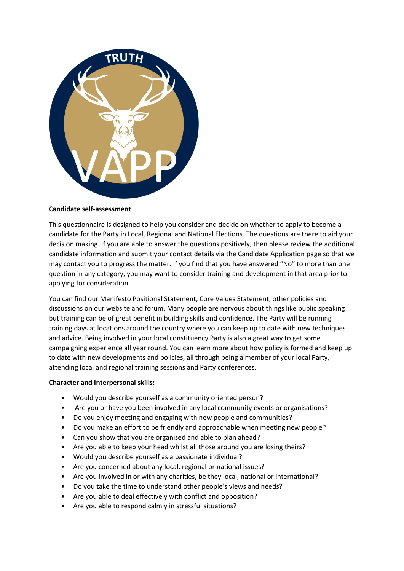

### **Candidate self-assessment**

This questionnaire is designed to help you consider and decide on whether to apply to become a candidate for the Party in Local, Regional and National Elections. The questions are there to aid your decision making. If you are able to answer the questions positively, then please review the additional candidate information and submit your contact details via the Candidate Application page so that we may contact you to progress the matter. If you find that you have answered "No" to more than one question in any category, you may want to consider training and development in that area prior to applying for consideration.

You can find our Manifesto Positional Statement, Core Values Statement, other policies and discussions on our website and forum. Many people are nervous about things like public speaking but training can be of great benefit in building skills and confidence. The Party will be running training days at locations around the country where you can keep up to date with new techniques and advice. Being involved in your local constituency Party is also a great way to get some campaigning experience all year round. You can learn more about how policy is formed and keep up to date with new developments and policies, all through being a member of your local Party, attending local and regional training sessions and Party conferences.

### **Character and Interpersonal skills:**

- Would you describe yourself as a community oriented person?
- Are you or have you been involved in any local community events or organisations?
- Do you enjoy meeting and engaging with new people and communities?
- Do you make an effort to be friendly and approachable when meeting new people?
- Can you show that you are organised and able to plan ahead?
- Are you able to keep your head whilst all those around you are losing theirs?
- Would you describe yourself as a passionate individual?
- Are you concerned about any local, regional or national issues?
- Are you involved in or with any charities, be they local, national or international?
- Do you take the time to understand other people's views and needs?
- Are you able to deal effectively with conflict and opposition?
- Are you able to respond calmly in stressful situations?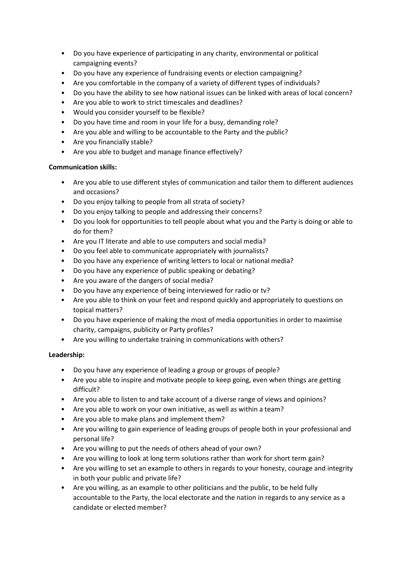- Do you have experience of participating in any charity, environmental or political campaigning events?
- Do you have any experience of fundraising events or election campaigning?
- Are you comfortable in the company of a variety of different types of individuals?
- Do you have the ability to see how national issues can be linked with areas of local concern?
- Are you able to work to strict timescales and deadlines?
- Would you consider yourself to be flexible?
- Do you have time and room in your life for a busy, demanding role?
- Are you able and willing to be accountable to the Party and the public?
- Are you financially stable?
- Are you able to budget and manage finance effectively?

## **Communication skills:**

- Are you able to use different styles of communication and tailor them to different audiences and occasions?
- Do you enjoy talking to people from all strata of society?
- Do you enjoy talking to people and addressing their concerns?
- Do you look for opportunities to tell people about what you and the Party is doing or able to do for them?
- Are you IT literate and able to use computers and social media?
- Do you feel able to communicate appropriately with journalists?
- Do you have any experience of writing letters to local or national media?
- Do you have any experience of public speaking or debating?
- Are you aware of the dangers of social media?
- Do you have any experience of being interviewed for radio or tv?
- Are you able to think on your feet and respond quickly and appropriately to questions on topical matters?
- Do you have experience of making the most of media opportunities in order to maximise charity, campaigns, publicity or Party profiles?
- Are you willing to undertake training in communications with others?

# **Leadership:**

- Do you have any experience of leading a group or groups of people?
- Are you able to inspire and motivate people to keep going, even when things are getting difficult?
- Are you able to listen to and take account of a diverse range of views and opinions?
- Are you able to work on your own initiative, as well as within a team?
- Are you able to make plans and implement them?
- Are you willing to gain experience of leading groups of people both in your professional and personal life?
- Are you willing to put the needs of others ahead of your own?
- Are you willing to look at long term solutions rather than work for short term gain?
- Are you willing to set an example to others in regards to your honesty, courage and integrity in both your public and private life?
- Are you willing, as an example to other politicians and the public, to be held fully accountable to the Party, the local electorate and the nation in regards to any service as a candidate or elected member?